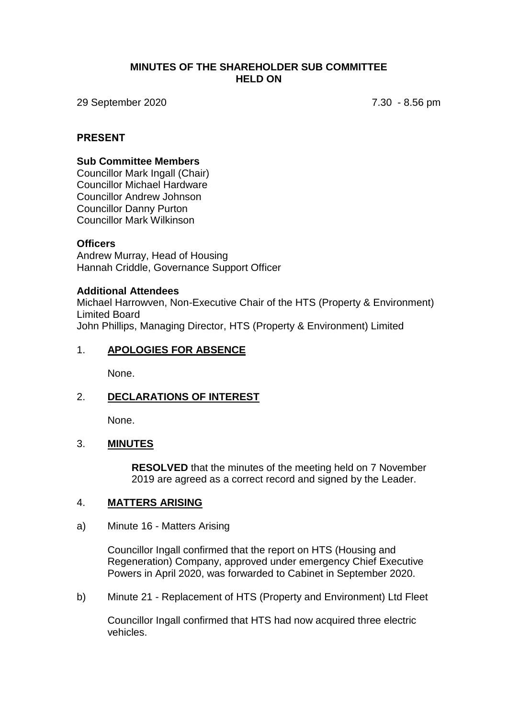### **MINUTES OF THE SHAREHOLDER SUB COMMITTEE HELD ON**

29 September 2020 7.30 - 8.56 pm

### **PRESENT**

### **Sub Committee Members**

Councillor Mark Ingall (Chair) Councillor Michael Hardware Councillor Andrew Johnson Councillor Danny Purton Councillor Mark Wilkinson

### **Officers**

Andrew Murray, Head of Housing Hannah Criddle, Governance Support Officer

#### **Additional Attendees**

Michael Harrowven, Non-Executive Chair of the HTS (Property & Environment) Limited Board John Phillips, Managing Director, HTS (Property & Environment) Limited

### 1. **APOLOGIES FOR ABSENCE**

None.

### 2. **DECLARATIONS OF INTEREST**

None.

### 3. **MINUTES**

**RESOLVED** that the minutes of the meeting held on 7 November 2019 are agreed as a correct record and signed by the Leader.

### 4. **MATTERS ARISING**

#### a) Minute 16 - Matters Arising

Councillor Ingall confirmed that the report on HTS (Housing and Regeneration) Company, approved under emergency Chief Executive Powers in April 2020, was forwarded to Cabinet in September 2020.

b) Minute 21 - Replacement of HTS (Property and Environment) Ltd Fleet

Councillor Ingall confirmed that HTS had now acquired three electric vehicles.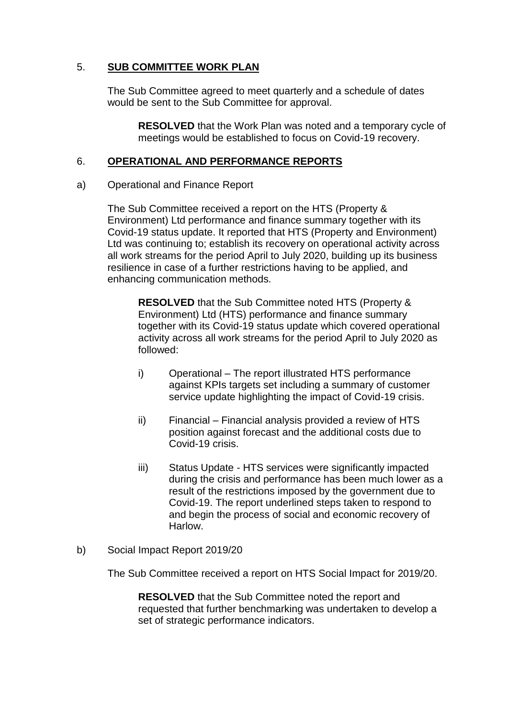## 5. **SUB COMMITTEE WORK PLAN**

The Sub Committee agreed to meet quarterly and a schedule of dates would be sent to the Sub Committee for approval.

**RESOLVED** that the Work Plan was noted and a temporary cycle of meetings would be established to focus on Covid-19 recovery.

### 6. **OPERATIONAL AND PERFORMANCE REPORTS**

### a) Operational and Finance Report

The Sub Committee received a report on the HTS (Property & Environment) Ltd performance and finance summary together with its Covid-19 status update. It reported that HTS (Property and Environment) Ltd was continuing to; establish its recovery on operational activity across all work streams for the period April to July 2020, building up its business resilience in case of a further restrictions having to be applied, and enhancing communication methods.

**RESOLVED** that the Sub Committee noted HTS (Property & Environment) Ltd (HTS) performance and finance summary together with its Covid-19 status update which covered operational activity across all work streams for the period April to July 2020 as followed:

- i) Operational The report illustrated HTS performance against KPIs targets set including a summary of customer service update highlighting the impact of Covid-19 crisis.
- ii) Financial Financial analysis provided a review of HTS position against forecast and the additional costs due to Covid-19 crisis.
- iii) Status Update HTS services were significantly impacted during the crisis and performance has been much lower as a result of the restrictions imposed by the government due to Covid-19. The report underlined steps taken to respond to and begin the process of social and economic recovery of Harlow.
- b) Social Impact Report 2019/20

The Sub Committee received a report on HTS Social Impact for 2019/20.

**RESOLVED** that the Sub Committee noted the report and requested that further benchmarking was undertaken to develop a set of strategic performance indicators.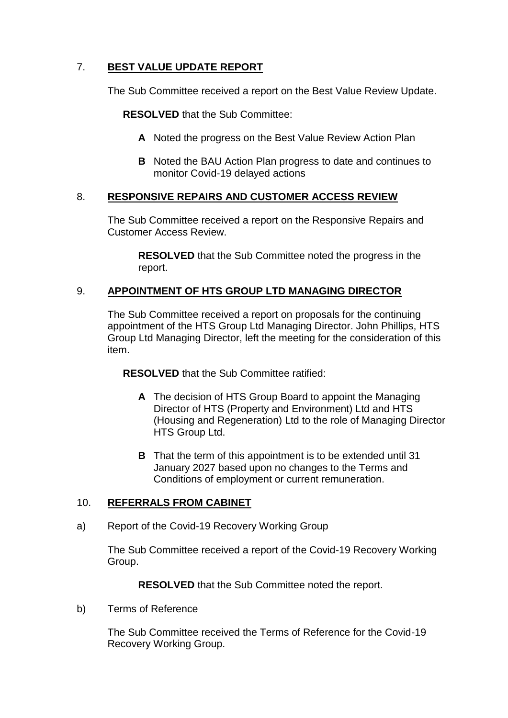# 7. **BEST VALUE UPDATE REPORT**

The Sub Committee received a report on the Best Value Review Update.

**RESOLVED** that the Sub Committee:

- **A** Noted the progress on the Best Value Review Action Plan
- **B** Noted the BAU Action Plan progress to date and continues to monitor Covid-19 delayed actions

## 8. **RESPONSIVE REPAIRS AND CUSTOMER ACCESS REVIEW**

The Sub Committee received a report on the Responsive Repairs and Customer Access Review.

**RESOLVED** that the Sub Committee noted the progress in the report.

## 9. **APPOINTMENT OF HTS GROUP LTD MANAGING DIRECTOR**

The Sub Committee received a report on proposals for the continuing appointment of the HTS Group Ltd Managing Director. John Phillips, HTS Group Ltd Managing Director, left the meeting for the consideration of this item.

**RESOLVED** that the Sub Committee ratified:

- **A** The decision of HTS Group Board to appoint the Managing Director of HTS (Property and Environment) Ltd and HTS (Housing and Regeneration) Ltd to the role of Managing Director HTS Group Ltd.
- **B** That the term of this appointment is to be extended until 31 January 2027 based upon no changes to the Terms and Conditions of employment or current remuneration.

### 10. **REFERRALS FROM CABINET**

a) Report of the Covid-19 Recovery Working Group

The Sub Committee received a report of the Covid-19 Recovery Working Group.

**RESOLVED** that the Sub Committee noted the report.

b) Terms of Reference

The Sub Committee received the Terms of Reference for the Covid-19 Recovery Working Group.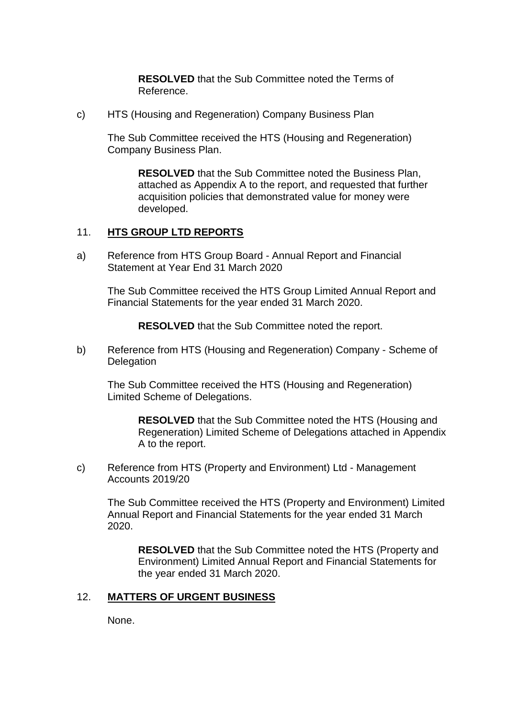**RESOLVED** that the Sub Committee noted the Terms of Reference.

c) HTS (Housing and Regeneration) Company Business Plan

The Sub Committee received the HTS (Housing and Regeneration) Company Business Plan.

**RESOLVED** that the Sub Committee noted the Business Plan, attached as Appendix A to the report, and requested that further acquisition policies that demonstrated value for money were developed.

### 11. **HTS GROUP LTD REPORTS**

a) Reference from HTS Group Board - Annual Report and Financial Statement at Year End 31 March 2020

The Sub Committee received the HTS Group Limited Annual Report and Financial Statements for the year ended 31 March 2020.

**RESOLVED** that the Sub Committee noted the report.

b) Reference from HTS (Housing and Regeneration) Company - Scheme of **Delegation** 

The Sub Committee received the HTS (Housing and Regeneration) Limited Scheme of Delegations.

> **RESOLVED** that the Sub Committee noted the HTS (Housing and Regeneration) Limited Scheme of Delegations attached in Appendix A to the report.

c) Reference from HTS (Property and Environment) Ltd - Management Accounts 2019/20

The Sub Committee received the HTS (Property and Environment) Limited Annual Report and Financial Statements for the year ended 31 March 2020.

**RESOLVED** that the Sub Committee noted the HTS (Property and Environment) Limited Annual Report and Financial Statements for the year ended 31 March 2020.

### 12. **MATTERS OF URGENT BUSINESS**

None.